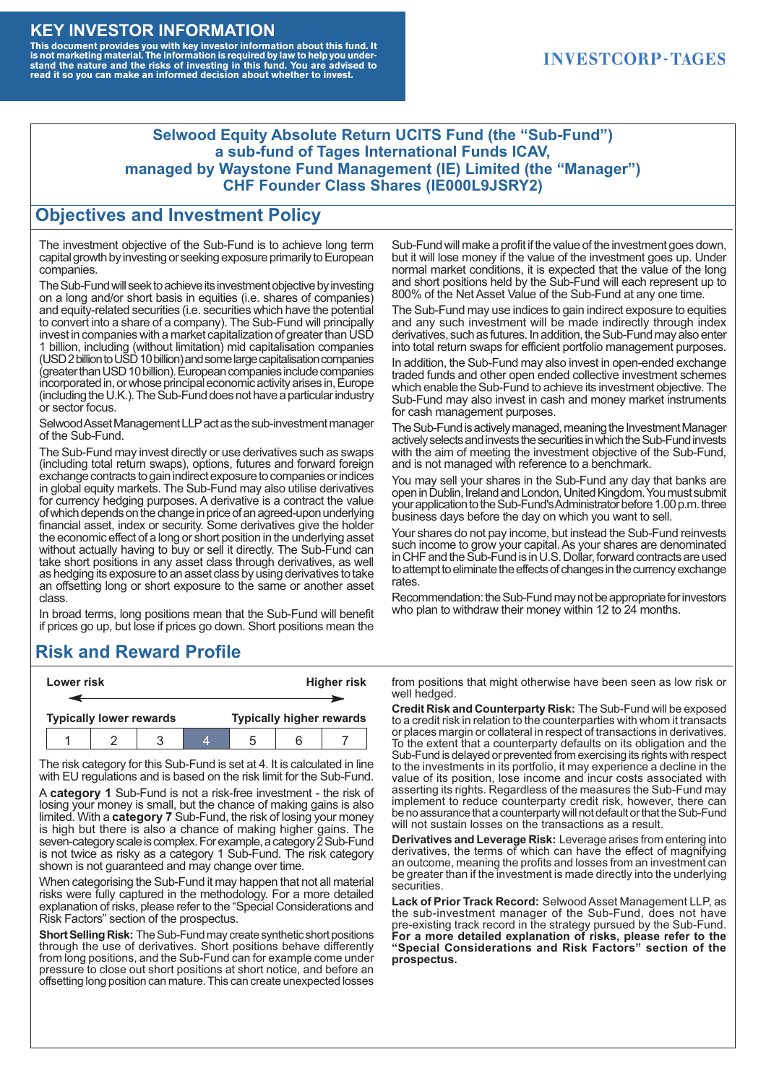#### **KEY INVESTOR INFORMATION**

This document provides you with key investor information about this fund. It<br>is not marketing material. The information is required by law to help you under-<br>stand the nature and the risks of investing in this fund. You ar

### **INVESTCORP-TAGES**

#### **Selwood Equity Absolute Return UCITS Fund (the "Sub-Fund") a sub-fund of Tages International Funds ICAV, managed by Waystone Fund Management (IE) Limited (the "Manager") CHF Founder Class Shares (IE000L9JSRY2)**

### **Objectives and Investment Policy**

The investment objective of the Sub-Fund is to achieve long term capital growth by investing or seeking exposure primarily to European companies.

The Sub-Fund will seek to achieve its investment objective by investing on a long and/or short basis in equities (i.e. shares of companies) and equity-related securities (i.e. securities which have the potential to convert into a share of a company). The Sub-Fund will principally invest in companies with a market capitalization of greater than USD 1 billion, including (without limitation) mid capitalisation companies (USD 2 billion to USD 10 billion) and some large capitalisation companies (greaterthanUSD10billion).European companiesinclude companies incorporated in, or whose principal economic activity arises in, Europe (including the U.K.). The Sub-Fund does not have a particular industry or sector focus.

Selwood Asset Management LLP act as the sub-investment manager of the Sub-Fund.

The Sub-Fund may invest directly or use derivatives such as swaps (including total return swaps), options, futures and forward foreign exchange contracts to gain indirect exposure to companies or indices in global equity markets. The Sub-Fund may also utilise derivatives for currency hedging purposes. A derivative is a contract the value of which depends on the change in price of an agreed-upon underlying financial asset, index or security. Some derivatives give the holder the economic effect of a long or short position in the underlying asset without actually having to buy or sell it directly. The Sub-Fund can take short positions in any asset class through derivatives, as well as hedging its exposure to an asset class by using derivatives to take an offsetting long or short exposure to the same or another asset class.

In broad terms, long positions mean that the Sub-Fund will benefit if prices go up, but lose if prices go down. Short positions mean the

# **Risk and Reward Profile**

|                                | Lower risk |  |  | <b>Higher risk</b>              |  |  |
|--------------------------------|------------|--|--|---------------------------------|--|--|
|                                |            |  |  |                                 |  |  |
| <b>Typically lower rewards</b> |            |  |  | <b>Typically higher rewards</b> |  |  |
|                                |            |  |  | :5                              |  |  |

The risk category for this Sub-Fund is set at 4. It is calculated in line with EU regulations and is based on the risk limit for the Sub-Fund.

A **category 1** Sub-Fund is not a risk-free investment - the risk of losing your money is small, but the chance of making gains is also limited. With a **category 7** Sub-Fund, the risk of losing your money is high but there is also a chance of making higher gains. The seven-category scale is complex. For example, a category 2 Sub-Fund is not twice as risky as a category 1 Sub-Fund. The risk category shown is not guaranteed and may change over time.

When categorising the Sub-Fund it may happen that not all material risks were fully captured in the methodology. For a more detailed explanation of risks, please refer to the "Special Considerations and Risk Factors" section of the prospectus.

**Short Selling Risk:** The Sub-Fund may create synthetic short positions through the use of derivatives. Short positions behave differently from long positions, and the Sub-Fund can for example come under pressure to close out short positions at short notice, and before an offsetting long position can mature. This can create unexpected losses

Sub-Fund will make a profit if the value of the investment goes down, but it will lose money if the value of the investment goes up. Under normal market conditions, it is expected that the value of the long and short positions held by the Sub-Fund will each represent up to 800% of the Net Asset Value of the Sub-Fund at any one time.

The Sub-Fund may use indices to gain indirect exposure to equities and any such investment will be made indirectly through index derivatives, such as futures. In addition, the Sub-Fund may also enter into total return swaps for efficient portfolio management purposes.

In addition, the Sub-Fund may also invest in open-ended exchange traded funds and other open ended collective investment schemes which enable the Sub-Fund to achieve its investment objective. The Sub-Fund may also invest in cash and money market instruments for cash management purposes.

The Sub-Fund is actively managed, meaning the Investment Manager actively selects and invests the securities in which the Sub-Fund invests with the aim of meeting the investment objective of the Sub-Fund, and is not managed with reference to a benchmark.

You may sell your shares in the Sub-Fund any day that banks are open in Dublin, Ireland and London, United Kingdom. You must submit your application to the Sub-Fund's Administrator before 1.00 p.m. three business days before the day on which you want to sell.

Your shares do not pay income, but instead the Sub-Fund reinvests such income to grow your capital. As your shares are denominated in CHF and the Sub-Fund is in U.S. Dollar, forward contracts are used to attempt to eliminate the effects of changes in the currency exchange rates.

Recommendation: the Sub-Fund may not be appropriate for investors who plan to withdraw their money within 12 to 24 months.

from positions that might otherwise have been seen as low risk or well hedged.

**Credit Risk and Counterparty Risk:** The Sub-Fund will be exposed to a credit risk in relation to the counterparties with whom it transacts or places margin or collateral in respect of transactions in derivatives. To the extent that a counterparty defaults on its obligation and the Sub-Fund is delayed or prevented from exercising its rights with respect to the investments in its portfolio, it may experience a decline in the value of its position, lose income and incur costs associated with asserting its rights. Regardless of the measures the Sub-Fund may implement to reduce counterparty credit risk, however, there can be no assurance that a counterparty will not default or that the Sub-Fund will not sustain losses on the transactions as a result.

**Derivatives and Leverage Risk:** Leverage arises from entering into derivatives, the terms of which can have the effect of magnifying an outcome, meaning the profits and losses from an investment can be greater than if the investment is made directly into the underlying **securities**.

**Lack of Prior Track Record:** Selwood Asset Management LLP, as the sub-investment manager of the Sub-Fund, does not have pre-existing track record in the strategy pursued by the Sub-Fund. **For a more detailed explanation of risks, please refer to the "Special Considerations and Risk Factors" section of the prospectus.**